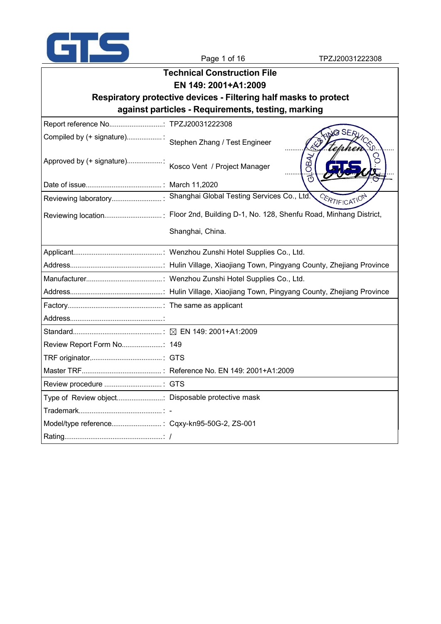

|                                                  | <b>Technical Construction File</b>                               |  |
|--------------------------------------------------|------------------------------------------------------------------|--|
|                                                  | EN 149: 2001+A1:2009                                             |  |
|                                                  | Respiratory protective devices - Filtering half masks to protect |  |
|                                                  | against particles - Requirements, testing, marking               |  |
|                                                  |                                                                  |  |
| Compiled by (+ signature):                       | Stephen Zhang / Test Engineer<br>àΩ                              |  |
| Approved by (+ signature):                       | <b>OBA</b><br>Kosco Vent / Project Manager                       |  |
|                                                  |                                                                  |  |
|                                                  | CERTIFICATION                                                    |  |
|                                                  |                                                                  |  |
|                                                  | Shanghai, China.                                                 |  |
|                                                  |                                                                  |  |
|                                                  |                                                                  |  |
|                                                  |                                                                  |  |
|                                                  |                                                                  |  |
|                                                  |                                                                  |  |
|                                                  |                                                                  |  |
|                                                  |                                                                  |  |
|                                                  |                                                                  |  |
|                                                  |                                                                  |  |
|                                                  |                                                                  |  |
|                                                  |                                                                  |  |
| Type of Review object Disposable protective mask |                                                                  |  |
|                                                  |                                                                  |  |
|                                                  |                                                                  |  |
|                                                  |                                                                  |  |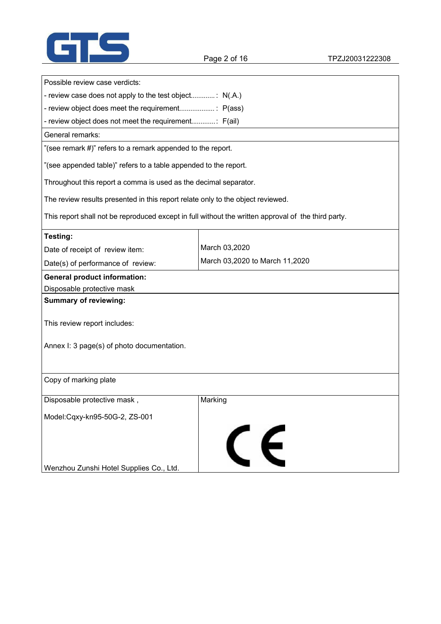

| Possible review case verdicts:                                                                      |                                |
|-----------------------------------------------------------------------------------------------------|--------------------------------|
| - review case does not apply to the test object: N(.A.)                                             |                                |
|                                                                                                     |                                |
| - review object does not meet the requirement: F(ail)                                               |                                |
| General remarks:                                                                                    |                                |
| "(see remark #)" refers to a remark appended to the report.                                         |                                |
| "(see appended table)" refers to a table appended to the report.                                    |                                |
| Throughout this report a comma is used as the decimal separator.                                    |                                |
| The review results presented in this report relate only to the object reviewed.                     |                                |
| This report shall not be reproduced except in full without the written approval of the third party. |                                |
| Testing:                                                                                            |                                |
| Date of receipt of review item:                                                                     | March 03,2020                  |
| Date(s) of performance of review:                                                                   | March 03,2020 to March 11,2020 |
| <b>General product information:</b>                                                                 |                                |
| Disposable protective mask                                                                          |                                |
| <b>Summary of reviewing:</b>                                                                        |                                |
| This review report includes:                                                                        |                                |
| Annex I: 3 page(s) of photo documentation.                                                          |                                |
|                                                                                                     |                                |
| Copy of marking plate                                                                               |                                |
| Disposable protective mask,                                                                         | Marking                        |
| Model:Cqxy-kn95-50G-2, ZS-001                                                                       |                                |
|                                                                                                     |                                |
|                                                                                                     | CE                             |
|                                                                                                     |                                |
| Wenzhou Zunshi Hotel Supplies Co., Ltd.                                                             |                                |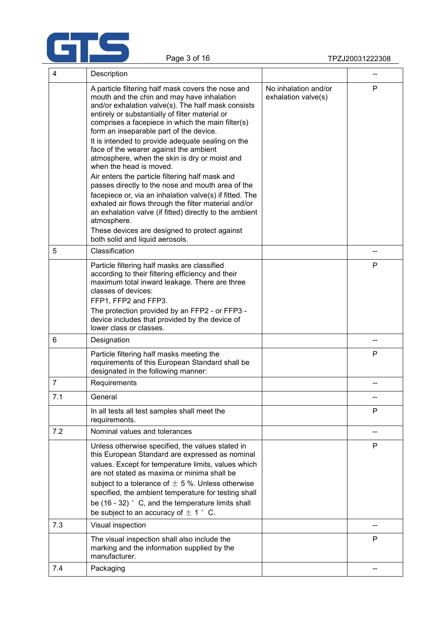

| 4   | Description                                                                                                                                                                                                                                                                                                                                                                                                                                                                                                                                                                                                                                                                                                                                                                                                                                                                   |                                             |              |
|-----|-------------------------------------------------------------------------------------------------------------------------------------------------------------------------------------------------------------------------------------------------------------------------------------------------------------------------------------------------------------------------------------------------------------------------------------------------------------------------------------------------------------------------------------------------------------------------------------------------------------------------------------------------------------------------------------------------------------------------------------------------------------------------------------------------------------------------------------------------------------------------------|---------------------------------------------|--------------|
|     | A particle filtering half mask covers the nose and<br>mouth and the chin and may have inhalation<br>and/or exhalation valve(s). The half mask consists<br>entirely or substantially of filter material or<br>comprises a facepiece in which the main filter(s)<br>form an inseparable part of the device.<br>It is intended to provide adequate sealing on the<br>face of the wearer against the ambient<br>atmosphere, when the skin is dry or moist and<br>when the head is moved.<br>Air enters the particle filtering half mask and<br>passes directly to the nose and mouth area of the<br>facepiece or, via an inhalation valve(s) if fitted. The<br>exhaled air flows through the filter material and/or<br>an exhalation valve (if fitted) directly to the ambient<br>atmosphere.<br>These devices are designed to protect against<br>both solid and liquid aerosols. | No inhalation and/or<br>exhalation valve(s) | P            |
| 5   | Classification                                                                                                                                                                                                                                                                                                                                                                                                                                                                                                                                                                                                                                                                                                                                                                                                                                                                |                                             |              |
|     | Particle filtering half masks are classified<br>according to their filtering efficiency and their<br>maximum total inward leakage. There are three<br>classes of devices:<br>FFP1, FFP2 and FFP3.<br>The protection provided by an FFP2 - or FFP3 -<br>device includes that provided by the device of<br>lower class or classes.                                                                                                                                                                                                                                                                                                                                                                                                                                                                                                                                              |                                             | P            |
| 6   | Designation                                                                                                                                                                                                                                                                                                                                                                                                                                                                                                                                                                                                                                                                                                                                                                                                                                                                   |                                             |              |
|     | Particle filtering half masks meeting the<br>requirements of this European Standard shall be<br>designated in the following manner:                                                                                                                                                                                                                                                                                                                                                                                                                                                                                                                                                                                                                                                                                                                                           |                                             | P            |
| 7   | Requirements                                                                                                                                                                                                                                                                                                                                                                                                                                                                                                                                                                                                                                                                                                                                                                                                                                                                  |                                             |              |
| 7.1 | General                                                                                                                                                                                                                                                                                                                                                                                                                                                                                                                                                                                                                                                                                                                                                                                                                                                                       |                                             |              |
|     | In all tests all test samples shall meet the<br>requirements.                                                                                                                                                                                                                                                                                                                                                                                                                                                                                                                                                                                                                                                                                                                                                                                                                 |                                             | $\mathsf{P}$ |
| 7.2 | Nominal values and tolerances                                                                                                                                                                                                                                                                                                                                                                                                                                                                                                                                                                                                                                                                                                                                                                                                                                                 |                                             |              |
|     | Unless otherwise specified, the values stated in<br>this European Standard are expressed as nominal<br>values. Except for temperature limits, values which<br>are not stated as maxima or minima shall be<br>subject to a tolerance of $\pm$ 5 %. Unless otherwise<br>specified, the ambient temperature for testing shall<br>be $(16 - 32)$ ° C, and the temperature limits shall<br>be subject to an accuracy of $\pm$ 1 ° C.                                                                                                                                                                                                                                                                                                                                                                                                                                               |                                             | P            |
| 7.3 | Visual inspection                                                                                                                                                                                                                                                                                                                                                                                                                                                                                                                                                                                                                                                                                                                                                                                                                                                             |                                             |              |
|     | The visual inspection shall also include the<br>marking and the information supplied by the<br>manufacturer.                                                                                                                                                                                                                                                                                                                                                                                                                                                                                                                                                                                                                                                                                                                                                                  |                                             | P            |
| 7.4 | Packaging                                                                                                                                                                                                                                                                                                                                                                                                                                                                                                                                                                                                                                                                                                                                                                                                                                                                     |                                             |              |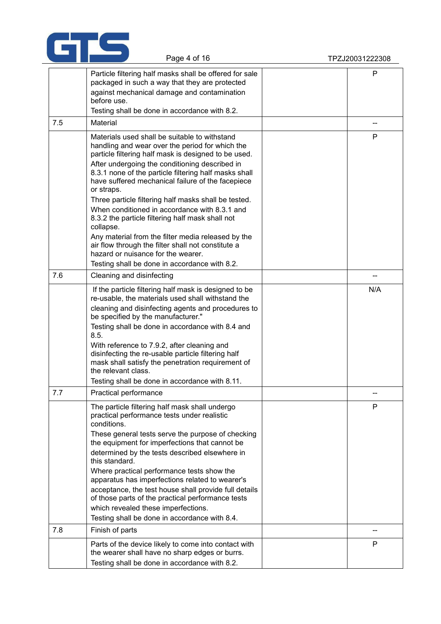

|     | Page 4 of 16                                                                                                                                                                                                                                                                                                                                                                                                                                                                                                                                                                                                                                                                                                        | TPZJ20031222308 |
|-----|---------------------------------------------------------------------------------------------------------------------------------------------------------------------------------------------------------------------------------------------------------------------------------------------------------------------------------------------------------------------------------------------------------------------------------------------------------------------------------------------------------------------------------------------------------------------------------------------------------------------------------------------------------------------------------------------------------------------|-----------------|
|     | Particle filtering half masks shall be offered for sale<br>packaged in such a way that they are protected<br>against mechanical damage and contamination<br>before use.<br>Testing shall be done in accordance with 8.2.                                                                                                                                                                                                                                                                                                                                                                                                                                                                                            | $\mathsf{P}$    |
| 7.5 | Material                                                                                                                                                                                                                                                                                                                                                                                                                                                                                                                                                                                                                                                                                                            | --              |
|     | Materials used shall be suitable to withstand<br>handling and wear over the period for which the<br>particle filtering half mask is designed to be used.<br>After undergoing the conditioning described in<br>8.3.1 none of the particle filtering half masks shall<br>have suffered mechanical failure of the facepiece<br>or straps.<br>Three particle filtering half masks shall be tested.<br>When conditioned in accordance with 8.3.1 and<br>8.3.2 the particle filtering half mask shall not<br>collapse.<br>Any material from the filter media released by the<br>air flow through the filter shall not constitute a<br>hazard or nuisance for the wearer.<br>Testing shall be done in accordance with 8.2. | P               |
| 7.6 | Cleaning and disinfecting                                                                                                                                                                                                                                                                                                                                                                                                                                                                                                                                                                                                                                                                                           | --              |
|     | If the particle filtering half mask is designed to be<br>re-usable, the materials used shall withstand the<br>cleaning and disinfecting agents and procedures to<br>be specified by the manufacturer."<br>Testing shall be done in accordance with 8.4 and<br>8.5.<br>With reference to 7.9.2, after cleaning and<br>disinfecting the re-usable particle filtering half<br>mask shall satisfy the penetration requirement of<br>the relevant class.<br>Testing shall be done in accordance with 8.11.                                                                                                                                                                                                               | N/A             |
| 7.7 | Practical performance                                                                                                                                                                                                                                                                                                                                                                                                                                                                                                                                                                                                                                                                                               | --              |
|     | The particle filtering half mask shall undergo<br>practical performance tests under realistic<br>conditions.<br>These general tests serve the purpose of checking<br>the equipment for imperfections that cannot be<br>determined by the tests described elsewhere in<br>this standard.<br>Where practical performance tests show the<br>apparatus has imperfections related to wearer's<br>acceptance, the test house shall provide full details<br>of those parts of the practical performance tests<br>which revealed these imperfections.<br>Testing shall be done in accordance with 8.4.                                                                                                                      | P               |
| 7.8 | Finish of parts                                                                                                                                                                                                                                                                                                                                                                                                                                                                                                                                                                                                                                                                                                     | --              |
|     | Parts of the device likely to come into contact with<br>the wearer shall have no sharp edges or burrs.<br>Testing shall be done in accordance with 8.2.                                                                                                                                                                                                                                                                                                                                                                                                                                                                                                                                                             | P               |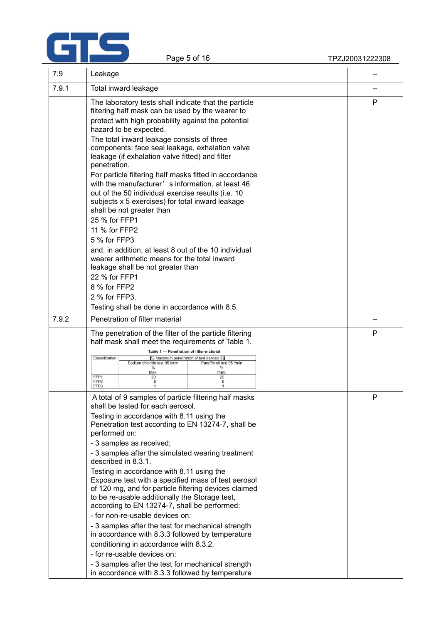

| 7.9   | Leakage                                                                                                                                                                                                                                                     |   |
|-------|-------------------------------------------------------------------------------------------------------------------------------------------------------------------------------------------------------------------------------------------------------------|---|
| 7.9.1 | Total inward leakage                                                                                                                                                                                                                                        |   |
|       | The laboratory tests shall indicate that the particle<br>filtering half mask can be used by the wearer to                                                                                                                                                   | P |
|       | protect with high probability against the potential<br>hazard to be expected.                                                                                                                                                                               |   |
|       | The total inward leakage consists of three<br>components: face seal leakage, exhalation valve<br>leakage (if exhalation valve fitted) and filter                                                                                                            |   |
|       | penetration.<br>For particle filtering half masks fitted in accordance<br>with the manufacturer' s information, at least 46<br>out of the 50 individual exercise results (i.e. 10<br>subjects x 5 exercises) for total inward leakage                       |   |
|       | shall be not greater than<br>25 % for FFP1                                                                                                                                                                                                                  |   |
|       | 11 % for FFP2<br>5 % for FFP3                                                                                                                                                                                                                               |   |
|       | and, in addition, at least 8 out of the 10 individual<br>wearer arithmetic means for the total inward<br>leakage shall be not greater than                                                                                                                  |   |
|       | 22 % for FFP1<br>8 % for FFP2                                                                                                                                                                                                                               |   |
|       | 2 % for FFP3.                                                                                                                                                                                                                                               |   |
|       | Testing shall be done in accordance with 8.5.                                                                                                                                                                                                               |   |
| 7.9.2 | Penetration of filter material                                                                                                                                                                                                                              |   |
|       | The penetration of the filter of the particle filtering<br>half mask shall meet the requirements of Table 1.                                                                                                                                                | P |
|       | Table 1 - Penetration of filter material<br>Classification<br>A) Maximum penetration of test aerosol (4)<br>Paraffin oil test 95 I/min<br>Sodium chloride test 95 I/min<br>$\%$<br>%<br>max.<br>max.<br>FFP1<br>20<br>20<br>FFP <sub>2</sub><br>6<br>6      |   |
|       | FFP3<br>A total of 9 samples of particle filtering half masks                                                                                                                                                                                               | Ρ |
|       | shall be tested for each aerosol.<br>Testing in accordance with 8.11 using the<br>Penetration test according to EN 13274-7, shall be<br>performed on:                                                                                                       |   |
|       | - 3 samples as received;<br>- 3 samples after the simulated wearing treatment<br>described in 8.3.1.                                                                                                                                                        |   |
|       | Testing in accordance with 8.11 using the<br>Exposure test with a specified mass of test aerosol<br>of 120 mg, and for particle filtering devices claimed<br>to be re-usable additionally the Storage test,<br>according to EN 13274-7, shall be performed: |   |
|       | - for non-re-usable devices on:<br>- 3 samples after the test for mechanical strength                                                                                                                                                                       |   |
|       | in accordance with 8.3.3 followed by temperature<br>conditioning in accordance with 8.3.2.                                                                                                                                                                  |   |
|       | - for re-usable devices on:                                                                                                                                                                                                                                 |   |
|       | - 3 samples after the test for mechanical strength<br>in accordance with 8.3.3 followed by temperature                                                                                                                                                      |   |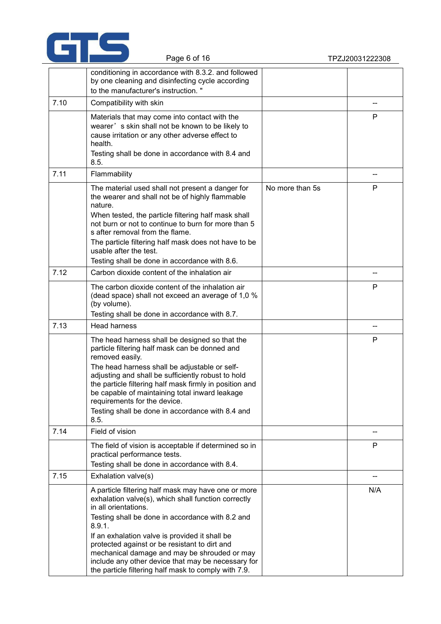

|      | conditioning in accordance with 8.3.2. and followed<br>by one cleaning and disinfecting cycle according<br>to the manufacturer's instruction."                                                                                                                                                                                                                                                                                                                    |                 |     |  |
|------|-------------------------------------------------------------------------------------------------------------------------------------------------------------------------------------------------------------------------------------------------------------------------------------------------------------------------------------------------------------------------------------------------------------------------------------------------------------------|-----------------|-----|--|
| 7.10 | Compatibility with skin                                                                                                                                                                                                                                                                                                                                                                                                                                           |                 |     |  |
|      | Materials that may come into contact with the<br>wearer's skin shall not be known to be likely to<br>cause irritation or any other adverse effect to<br>health.<br>Testing shall be done in accordance with 8.4 and<br>8.5.                                                                                                                                                                                                                                       |                 | P   |  |
| 7.11 | Flammability                                                                                                                                                                                                                                                                                                                                                                                                                                                      |                 | --  |  |
|      | The material used shall not present a danger for<br>the wearer and shall not be of highly flammable<br>nature.<br>When tested, the particle filtering half mask shall<br>not burn or not to continue to burn for more than 5<br>s after removal from the flame.<br>The particle filtering half mask does not have to be<br>usable after the test.<br>Testing shall be done in accordance with 8.6.                                                                | No more than 5s | P   |  |
| 7.12 | Carbon dioxide content of the inhalation air                                                                                                                                                                                                                                                                                                                                                                                                                      |                 | --  |  |
|      | The carbon dioxide content of the inhalation air<br>(dead space) shall not exceed an average of 1,0 %<br>(by volume).<br>Testing shall be done in accordance with 8.7.                                                                                                                                                                                                                                                                                            |                 | P   |  |
| 7.13 | <b>Head harness</b>                                                                                                                                                                                                                                                                                                                                                                                                                                               |                 | --  |  |
|      | The head harness shall be designed so that the<br>particle filtering half mask can be donned and<br>removed easily.<br>The head harness shall be adjustable or self-<br>adjusting and shall be sufficiently robust to hold<br>the particle filtering half mask firmly in position and<br>be capable of maintaining total inward leakage<br>requirements for the device.<br>Testing shall be done in accordance with 8.4 and<br>8.5.                               |                 | P   |  |
| 7.14 | Field of vision                                                                                                                                                                                                                                                                                                                                                                                                                                                   |                 |     |  |
|      | The field of vision is acceptable if determined so in<br>practical performance tests.<br>Testing shall be done in accordance with 8.4.                                                                                                                                                                                                                                                                                                                            |                 | P   |  |
| 7.15 | Exhalation valve(s)                                                                                                                                                                                                                                                                                                                                                                                                                                               |                 |     |  |
|      | A particle filtering half mask may have one or more<br>exhalation valve(s), which shall function correctly<br>in all orientations.<br>Testing shall be done in accordance with 8.2 and<br>8.9.1.<br>If an exhalation valve is provided it shall be<br>protected against or be resistant to dirt and<br>mechanical damage and may be shrouded or may<br>include any other device that may be necessary for<br>the particle filtering half mask to comply with 7.9. |                 | N/A |  |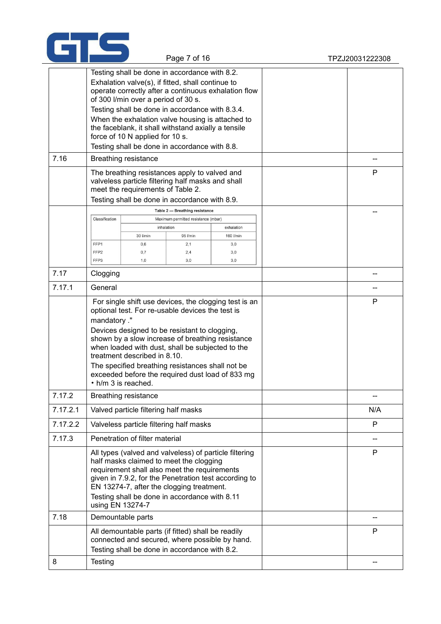

|                                                                                                                                                                                                                                                                                                                                                                                                                                                                                                                                      | Page 7 of 16                                       |                                                                                                                                                                                                                                                                                                                            |                                                                                                                      | TPZJ20031222308                                                                                                 |  |              |
|--------------------------------------------------------------------------------------------------------------------------------------------------------------------------------------------------------------------------------------------------------------------------------------------------------------------------------------------------------------------------------------------------------------------------------------------------------------------------------------------------------------------------------------|----------------------------------------------------|----------------------------------------------------------------------------------------------------------------------------------------------------------------------------------------------------------------------------------------------------------------------------------------------------------------------------|----------------------------------------------------------------------------------------------------------------------|-----------------------------------------------------------------------------------------------------------------|--|--------------|
| Testing shall be done in accordance with 8.2.<br>Exhalation valve(s), if fitted, shall continue to<br>operate correctly after a continuous exhalation flow<br>of 300 I/min over a period of 30 s.<br>Testing shall be done in accordance with 8.3.4.<br>When the exhalation valve housing is attached to<br>the faceblank, it shall withstand axially a tensile<br>force of 10 N applied for 10 s.<br>Testing shall be done in accordance with 8.8.<br>7.16<br>Breathing resistance<br>The breathing resistances apply to valved and |                                                    |                                                                                                                                                                                                                                                                                                                            | P                                                                                                                    |                                                                                                                 |  |              |
|                                                                                                                                                                                                                                                                                                                                                                                                                                                                                                                                      |                                                    | valveless particle filtering half masks and shall<br>meet the requirements of Table 2.                                                                                                                                                                                                                                     |                                                                                                                      |                                                                                                                 |  |              |
|                                                                                                                                                                                                                                                                                                                                                                                                                                                                                                                                      | Classification<br>FFP1<br>FFP <sub>2</sub><br>FFP3 | Testing shall be done in accordance with 8.9.<br>30 l/min<br>0,6<br>0,7<br>1,0                                                                                                                                                                                                                                             | Table 2 - Breathing resistance<br>Maximum permitted resistance (mbar)<br>inhalation<br>95 l/min<br>2,1<br>2,4<br>3,0 | exhalation<br>160 I/min<br>3,0<br>3,0<br>3,0                                                                    |  |              |
| 7.17                                                                                                                                                                                                                                                                                                                                                                                                                                                                                                                                 | Clogging                                           |                                                                                                                                                                                                                                                                                                                            |                                                                                                                      |                                                                                                                 |  |              |
| 7.17.1                                                                                                                                                                                                                                                                                                                                                                                                                                                                                                                               | General                                            |                                                                                                                                                                                                                                                                                                                            |                                                                                                                      |                                                                                                                 |  | --           |
|                                                                                                                                                                                                                                                                                                                                                                                                                                                                                                                                      | mandatory ."                                       | optional test. For re-usable devices the test is<br>Devices designed to be resistant to clogging,<br>shown by a slow increase of breathing resistance<br>when loaded with dust, shall be subjected to the<br>treatment described in 8.10.<br>The specified breathing resistances shall not be<br>$\cdot$ h/m 3 is reached. |                                                                                                                      | For single shift use devices, the clogging test is an<br>exceeded before the required dust load of 833 mg       |  | P            |
| 7.17.2                                                                                                                                                                                                                                                                                                                                                                                                                                                                                                                               |                                                    | <b>Breathing resistance</b>                                                                                                                                                                                                                                                                                                |                                                                                                                      |                                                                                                                 |  |              |
| 7.17.2.1                                                                                                                                                                                                                                                                                                                                                                                                                                                                                                                             |                                                    | Valved particle filtering half masks                                                                                                                                                                                                                                                                                       |                                                                                                                      |                                                                                                                 |  | N/A          |
| 7.17.2.2                                                                                                                                                                                                                                                                                                                                                                                                                                                                                                                             |                                                    | Valveless particle filtering half masks                                                                                                                                                                                                                                                                                    |                                                                                                                      |                                                                                                                 |  | P            |
| 7.17.3                                                                                                                                                                                                                                                                                                                                                                                                                                                                                                                               |                                                    | Penetration of filter material                                                                                                                                                                                                                                                                                             |                                                                                                                      |                                                                                                                 |  |              |
|                                                                                                                                                                                                                                                                                                                                                                                                                                                                                                                                      |                                                    | half masks claimed to meet the clogging<br>requirement shall also meet the requirements<br>EN 13274-7, after the clogging treatment.<br>Testing shall be done in accordance with 8.11<br>using EN 13274-7                                                                                                                  |                                                                                                                      | All types (valved and valveless) of particle filtering<br>given in 7.9.2, for the Penetration test according to |  | P            |
| 7.18                                                                                                                                                                                                                                                                                                                                                                                                                                                                                                                                 |                                                    | Demountable parts                                                                                                                                                                                                                                                                                                          |                                                                                                                      |                                                                                                                 |  |              |
|                                                                                                                                                                                                                                                                                                                                                                                                                                                                                                                                      |                                                    | All demountable parts (if fitted) shall be readily<br>connected and secured, where possible by hand.<br>Testing shall be done in accordance with 8.2.                                                                                                                                                                      |                                                                                                                      |                                                                                                                 |  | $\mathsf{P}$ |

8 Testing in the set of the set of the set of the set of the set of the set of the set of the set of the set of the set of the set of the set of the set of the set of the set of the set of the set of the set of the set of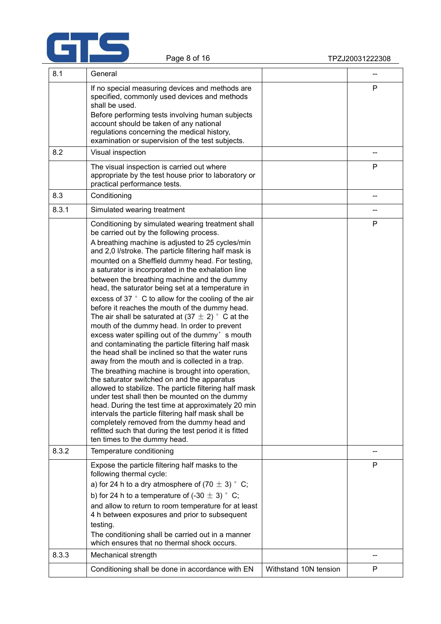

| 8.1   | General                                                                                                                                                                                                                                                                                                                                                                                                                                                                                                                                                                                                                                                                                                                                                                                                                                                                                                                                                                                                                                                                                                                                                                                                                                                                                                                               |                       |    |  |
|-------|---------------------------------------------------------------------------------------------------------------------------------------------------------------------------------------------------------------------------------------------------------------------------------------------------------------------------------------------------------------------------------------------------------------------------------------------------------------------------------------------------------------------------------------------------------------------------------------------------------------------------------------------------------------------------------------------------------------------------------------------------------------------------------------------------------------------------------------------------------------------------------------------------------------------------------------------------------------------------------------------------------------------------------------------------------------------------------------------------------------------------------------------------------------------------------------------------------------------------------------------------------------------------------------------------------------------------------------|-----------------------|----|--|
|       | If no special measuring devices and methods are<br>specified, commonly used devices and methods<br>shall be used.<br>Before performing tests involving human subjects                                                                                                                                                                                                                                                                                                                                                                                                                                                                                                                                                                                                                                                                                                                                                                                                                                                                                                                                                                                                                                                                                                                                                                 |                       | P  |  |
|       | account should be taken of any national<br>regulations concerning the medical history,<br>examination or supervision of the test subjects.                                                                                                                                                                                                                                                                                                                                                                                                                                                                                                                                                                                                                                                                                                                                                                                                                                                                                                                                                                                                                                                                                                                                                                                            |                       |    |  |
| 8.2   | Visual inspection                                                                                                                                                                                                                                                                                                                                                                                                                                                                                                                                                                                                                                                                                                                                                                                                                                                                                                                                                                                                                                                                                                                                                                                                                                                                                                                     |                       | -- |  |
|       | The visual inspection is carried out where<br>appropriate by the test house prior to laboratory or<br>practical performance tests.                                                                                                                                                                                                                                                                                                                                                                                                                                                                                                                                                                                                                                                                                                                                                                                                                                                                                                                                                                                                                                                                                                                                                                                                    |                       | P  |  |
| 8.3   | Conditioning                                                                                                                                                                                                                                                                                                                                                                                                                                                                                                                                                                                                                                                                                                                                                                                                                                                                                                                                                                                                                                                                                                                                                                                                                                                                                                                          |                       |    |  |
| 8.3.1 | Simulated wearing treatment                                                                                                                                                                                                                                                                                                                                                                                                                                                                                                                                                                                                                                                                                                                                                                                                                                                                                                                                                                                                                                                                                                                                                                                                                                                                                                           |                       | -- |  |
|       | Conditioning by simulated wearing treatment shall<br>be carried out by the following process.<br>A breathing machine is adjusted to 25 cycles/min<br>and 2,0 l/stroke. The particle filtering half mask is<br>mounted on a Sheffield dummy head. For testing,<br>a saturator is incorporated in the exhalation line<br>between the breathing machine and the dummy<br>head, the saturator being set at a temperature in<br>excess of 37 ° C to allow for the cooling of the air<br>before it reaches the mouth of the dummy head.<br>The air shall be saturated at (37 $\pm$ 2) $\degree$ C at the<br>mouth of the dummy head. In order to prevent<br>excess water spilling out of the dummy's mouth<br>and contaminating the particle filtering half mask<br>the head shall be inclined so that the water runs<br>away from the mouth and is collected in a trap.<br>The breathing machine is brought into operation,<br>the saturator switched on and the apparatus<br>allowed to stabilize. The particle filtering half mask<br>under test shall then be mounted on the dummy<br>head. During the test time at approximately 20 min<br>intervals the particle filtering half mask shall be<br>completely removed from the dummy head and<br>refitted such that during the test period it is fitted<br>ten times to the dummy head. |                       | P  |  |
| 8.3.2 | Temperature conditioning                                                                                                                                                                                                                                                                                                                                                                                                                                                                                                                                                                                                                                                                                                                                                                                                                                                                                                                                                                                                                                                                                                                                                                                                                                                                                                              |                       |    |  |
|       | Expose the particle filtering half masks to the<br>following thermal cycle:<br>a) for 24 h to a dry atmosphere of $(70 \pm 3)$ ° C;<br>b) for 24 h to a temperature of $(-30 \pm 3)$ ° C;<br>and allow to return to room temperature for at least<br>4 h between exposures and prior to subsequent<br>testing.<br>The conditioning shall be carried out in a manner<br>which ensures that no thermal shock occurs.                                                                                                                                                                                                                                                                                                                                                                                                                                                                                                                                                                                                                                                                                                                                                                                                                                                                                                                    |                       | P  |  |
| 8.3.3 | Mechanical strength                                                                                                                                                                                                                                                                                                                                                                                                                                                                                                                                                                                                                                                                                                                                                                                                                                                                                                                                                                                                                                                                                                                                                                                                                                                                                                                   |                       | -- |  |
|       | Conditioning shall be done in accordance with EN                                                                                                                                                                                                                                                                                                                                                                                                                                                                                                                                                                                                                                                                                                                                                                                                                                                                                                                                                                                                                                                                                                                                                                                                                                                                                      | Withstand 10N tension | P  |  |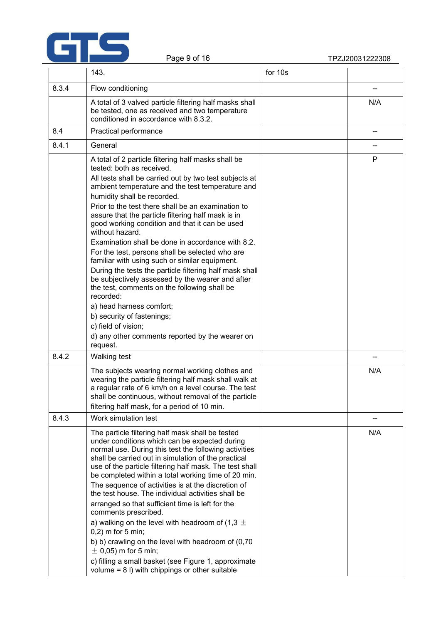

|       | 143.                                                                                                                                                                                                                                                                                                                                                                                                                                                                                                                                                                                                                                                                                                                                                                                                                                                                                     | for 10s |     |
|-------|------------------------------------------------------------------------------------------------------------------------------------------------------------------------------------------------------------------------------------------------------------------------------------------------------------------------------------------------------------------------------------------------------------------------------------------------------------------------------------------------------------------------------------------------------------------------------------------------------------------------------------------------------------------------------------------------------------------------------------------------------------------------------------------------------------------------------------------------------------------------------------------|---------|-----|
| 8.3.4 | Flow conditioning                                                                                                                                                                                                                                                                                                                                                                                                                                                                                                                                                                                                                                                                                                                                                                                                                                                                        |         | --  |
|       | A total of 3 valved particle filtering half masks shall<br>be tested, one as received and two temperature<br>conditioned in accordance with 8.3.2.                                                                                                                                                                                                                                                                                                                                                                                                                                                                                                                                                                                                                                                                                                                                       |         | N/A |
| 8.4   | Practical performance                                                                                                                                                                                                                                                                                                                                                                                                                                                                                                                                                                                                                                                                                                                                                                                                                                                                    |         | --  |
| 8.4.1 | General                                                                                                                                                                                                                                                                                                                                                                                                                                                                                                                                                                                                                                                                                                                                                                                                                                                                                  |         | --  |
|       | A total of 2 particle filtering half masks shall be<br>tested: both as received.<br>All tests shall be carried out by two test subjects at<br>ambient temperature and the test temperature and<br>humidity shall be recorded.<br>Prior to the test there shall be an examination to<br>assure that the particle filtering half mask is in<br>good working condition and that it can be used<br>without hazard.<br>Examination shall be done in accordance with 8.2.<br>For the test, persons shall be selected who are<br>familiar with using such or similar equipment.<br>During the tests the particle filtering half mask shall<br>be subjectively assessed by the wearer and after<br>the test, comments on the following shall be<br>recorded:<br>a) head harness comfort;<br>b) security of fastenings;<br>c) field of vision;<br>d) any other comments reported by the wearer on |         | P   |
|       | request.                                                                                                                                                                                                                                                                                                                                                                                                                                                                                                                                                                                                                                                                                                                                                                                                                                                                                 |         |     |
| 8.4.2 | <b>Walking test</b><br>The subjects wearing normal working clothes and<br>wearing the particle filtering half mask shall walk at<br>a regular rate of 6 km/h on a level course. The test<br>shall be continuous, without removal of the particle<br>filtering half mask, for a period of 10 min.                                                                                                                                                                                                                                                                                                                                                                                                                                                                                                                                                                                         |         | N/A |
| 8.4.3 | Work simulation test                                                                                                                                                                                                                                                                                                                                                                                                                                                                                                                                                                                                                                                                                                                                                                                                                                                                     |         |     |
|       | The particle filtering half mask shall be tested<br>under conditions which can be expected during<br>normal use. During this test the following activities<br>shall be carried out in simulation of the practical<br>use of the particle filtering half mask. The test shall<br>be completed within a total working time of 20 min.<br>The sequence of activities is at the discretion of<br>the test house. The individual activities shall be<br>arranged so that sufficient time is left for the<br>comments prescribed.<br>a) walking on the level with headroom of (1,3 $\pm$<br>$0,2$ ) m for 5 min;<br>b) b) crawling on the level with headroom of (0,70<br>$\pm$ 0,05) m for 5 min;<br>c) filling a small basket (see Figure 1, approximate<br>volume $= 8$ I) with chippings or other suitable                                                                                 |         | N/A |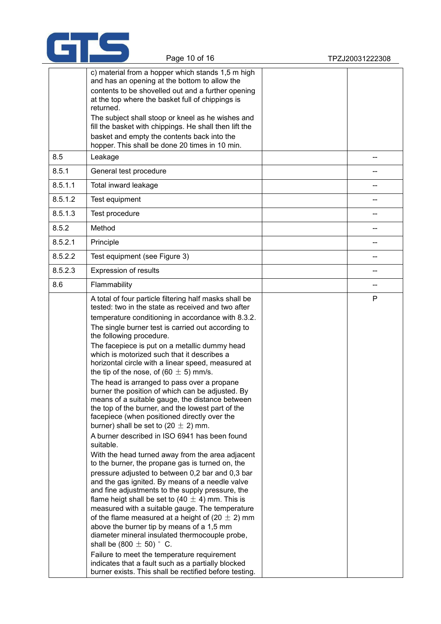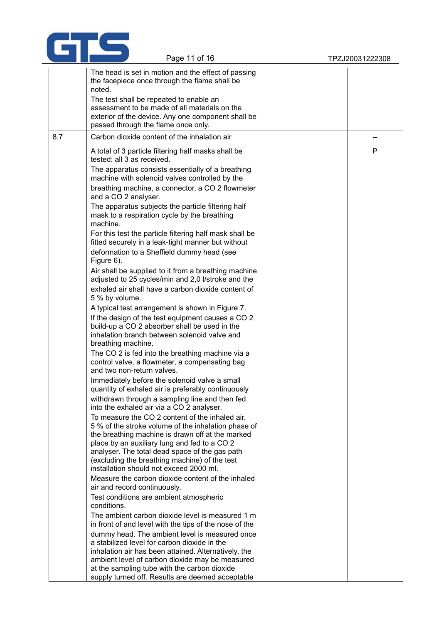

|     | The head is set in motion and the effect of passing<br>the facepiece once through the flame shall be<br>noted.                                                                                                                                                                                                                                           |    |
|-----|----------------------------------------------------------------------------------------------------------------------------------------------------------------------------------------------------------------------------------------------------------------------------------------------------------------------------------------------------------|----|
|     | The test shall be repeated to enable an<br>assessment to be made of all materials on the<br>exterior of the device. Any one component shall be<br>passed through the flame once only.                                                                                                                                                                    |    |
| 8.7 | Carbon dioxide content of the inhalation air                                                                                                                                                                                                                                                                                                             | -- |
|     | A total of 3 particle filtering half masks shall be<br>tested: all 3 as received.                                                                                                                                                                                                                                                                        | P  |
|     | The apparatus consists essentially of a breathing<br>machine with solenoid valves controlled by the                                                                                                                                                                                                                                                      |    |
|     | breathing machine, a connector, a CO 2 flowmeter<br>and a CO 2 analyser.                                                                                                                                                                                                                                                                                 |    |
|     | The apparatus subjects the particle filtering half<br>mask to a respiration cycle by the breathing<br>machine.                                                                                                                                                                                                                                           |    |
|     | For this test the particle filtering half mask shall be<br>fitted securely in a leak-tight manner but without                                                                                                                                                                                                                                            |    |
|     | deformation to a Sheffield dummy head (see<br>Figure 6).                                                                                                                                                                                                                                                                                                 |    |
|     | Air shall be supplied to it from a breathing machine<br>adjusted to 25 cycles/min and 2,0 l/stroke and the                                                                                                                                                                                                                                               |    |
|     | exhaled air shall have a carbon dioxide content of<br>5 % by volume.                                                                                                                                                                                                                                                                                     |    |
|     | A typical test arrangement is shown in Figure 7.<br>If the design of the test equipment causes a CO 2                                                                                                                                                                                                                                                    |    |
|     | build-up a CO 2 absorber shall be used in the<br>inhalation branch between solenoid valve and<br>breathing machine.                                                                                                                                                                                                                                      |    |
|     | The CO 2 is fed into the breathing machine via a<br>control valve, a flowmeter, a compensating bag<br>and two non-return valves.                                                                                                                                                                                                                         |    |
|     | Immediately before the solenoid valve a small<br>quantity of exhaled air is preferably continuously                                                                                                                                                                                                                                                      |    |
|     | withdrawn through a sampling line and then fed<br>into the exhaled air via a CO 2 analyser.                                                                                                                                                                                                                                                              |    |
|     | To measure the CO 2 content of the inhaled air,<br>5 % of the stroke volume of the inhalation phase of<br>the breathing machine is drawn off at the marked<br>place by an auxiliary lung and fed to a CO 2<br>analyser. The total dead space of the gas path<br>(excluding the breathing machine) of the test<br>installation should not exceed 2000 ml. |    |
|     | Measure the carbon dioxide content of the inhaled<br>air and record continuously.                                                                                                                                                                                                                                                                        |    |
|     | Test conditions are ambient atmospheric<br>conditions.                                                                                                                                                                                                                                                                                                   |    |
|     | The ambient carbon dioxide level is measured 1 m<br>in front of and level with the tips of the nose of the                                                                                                                                                                                                                                               |    |
|     | dummy head. The ambient level is measured once<br>a stabilized level for carbon dioxide in the<br>inhalation air has been attained. Alternatively, the<br>ambient level of carbon dioxide may be measured<br>at the sampling tube with the carbon dioxide                                                                                                |    |
|     | supply turned off. Results are deemed acceptable                                                                                                                                                                                                                                                                                                         |    |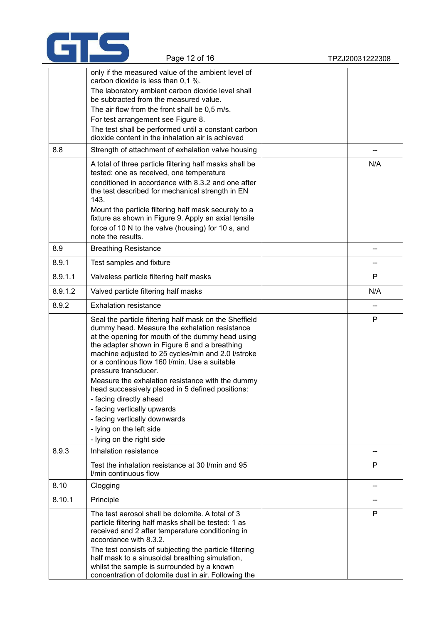

|         | carbon dioxide is less than 0,1 %.                                                                                                                                                                                                                                                                                                          |              |
|---------|---------------------------------------------------------------------------------------------------------------------------------------------------------------------------------------------------------------------------------------------------------------------------------------------------------------------------------------------|--------------|
|         | The laboratory ambient carbon dioxide level shall<br>be subtracted from the measured value.                                                                                                                                                                                                                                                 |              |
|         | The air flow from the front shall be 0,5 m/s.                                                                                                                                                                                                                                                                                               |              |
|         | For test arrangement see Figure 8.                                                                                                                                                                                                                                                                                                          |              |
|         | The test shall be performed until a constant carbon<br>dioxide content in the inhalation air is achieved                                                                                                                                                                                                                                    |              |
| 8.8     | Strength of attachment of exhalation valve housing                                                                                                                                                                                                                                                                                          |              |
|         | A total of three particle filtering half masks shall be<br>tested: one as received, one temperature<br>conditioned in accordance with 8.3.2 and one after<br>the test described for mechanical strength in EN<br>143.                                                                                                                       | N/A          |
|         | Mount the particle filtering half mask securely to a<br>fixture as shown in Figure 9. Apply an axial tensile                                                                                                                                                                                                                                |              |
|         | force of 10 N to the valve (housing) for 10 s, and<br>note the results.                                                                                                                                                                                                                                                                     |              |
| 8.9     | <b>Breathing Resistance</b>                                                                                                                                                                                                                                                                                                                 |              |
| 8.9.1   | Test samples and fixture                                                                                                                                                                                                                                                                                                                    |              |
| 8.9.1.1 | Valveless particle filtering half masks                                                                                                                                                                                                                                                                                                     | $\mathsf{P}$ |
| 8.9.1.2 | Valved particle filtering half masks                                                                                                                                                                                                                                                                                                        | N/A          |
| 8.9.2   | <b>Exhalation resistance</b>                                                                                                                                                                                                                                                                                                                |              |
|         | Seal the particle filtering half mask on the Sheffield<br>dummy head. Measure the exhalation resistance<br>at the opening for mouth of the dummy head using<br>the adapter shown in Figure 6 and a breathing<br>machine adjusted to 25 cycles/min and 2.0 l/stroke<br>or a continous flow 160 l/min. Use a suitable<br>pressure transducer. | $\mathsf{P}$ |

only if the measured value of the ambient level of

Page 12 of 16 TPZJ20031222308

| 8.9.1   | Test samples and fixture                                                                                                                                                                                                                                                                                                                                                                                                                                                                                                                                                                                |     |
|---------|---------------------------------------------------------------------------------------------------------------------------------------------------------------------------------------------------------------------------------------------------------------------------------------------------------------------------------------------------------------------------------------------------------------------------------------------------------------------------------------------------------------------------------------------------------------------------------------------------------|-----|
| 8.9.1.1 | Valveless particle filtering half masks                                                                                                                                                                                                                                                                                                                                                                                                                                                                                                                                                                 | P   |
| 8.9.1.2 | Valved particle filtering half masks                                                                                                                                                                                                                                                                                                                                                                                                                                                                                                                                                                    | N/A |
| 8.9.2   | <b>Exhalation resistance</b>                                                                                                                                                                                                                                                                                                                                                                                                                                                                                                                                                                            | --  |
|         | Seal the particle filtering half mask on the Sheffield<br>dummy head. Measure the exhalation resistance<br>at the opening for mouth of the dummy head using<br>the adapter shown in Figure 6 and a breathing<br>machine adjusted to 25 cycles/min and 2.0 l/stroke<br>or a continous flow 160 I/min. Use a suitable<br>pressure transducer.<br>Measure the exhalation resistance with the dummy<br>head successively placed in 5 defined positions:<br>- facing directly ahead<br>- facing vertically upwards<br>- facing vertically downwards<br>- lying on the left side<br>- lying on the right side | P   |
| 8.9.3   | Inhalation resistance                                                                                                                                                                                                                                                                                                                                                                                                                                                                                                                                                                                   | --  |
|         | Test the inhalation resistance at 30 I/min and 95<br>I/min continuous flow                                                                                                                                                                                                                                                                                                                                                                                                                                                                                                                              | P   |
| 8.10    | Clogging                                                                                                                                                                                                                                                                                                                                                                                                                                                                                                                                                                                                |     |
| 8.10.1  | Principle                                                                                                                                                                                                                                                                                                                                                                                                                                                                                                                                                                                               |     |
|         | The test aerosol shall be dolomite. A total of 3<br>particle filtering half masks shall be tested: 1 as<br>received and 2 after temperature conditioning in<br>accordance with 8.3.2.<br>The test consists of subjecting the particle filtering<br>half mask to a sinusoidal breathing simulation,<br>whilst the sample is surrounded by a known                                                                                                                                                                                                                                                        | P   |

concentration of dolomite dust in air. Following the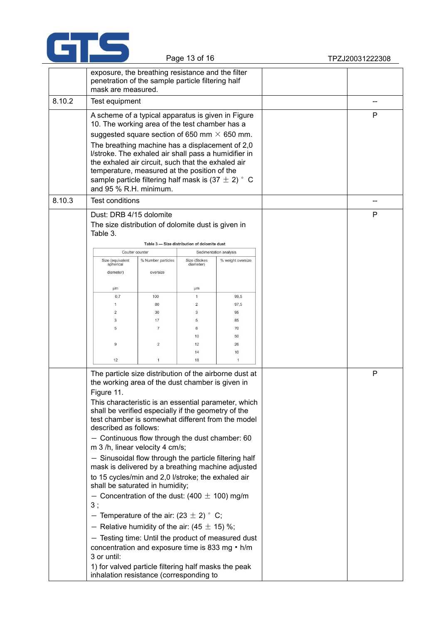

|        | exposure, the breathing resistance and the filter<br>penetration of the sample particle filtering half<br>mask are measured.                                                                                                                                                                                                                                                                                                                                                                                                                                                                                                                                                                                                                                                                                                                                                                                                                                    |                                |                                              |                        |  |    |
|--------|-----------------------------------------------------------------------------------------------------------------------------------------------------------------------------------------------------------------------------------------------------------------------------------------------------------------------------------------------------------------------------------------------------------------------------------------------------------------------------------------------------------------------------------------------------------------------------------------------------------------------------------------------------------------------------------------------------------------------------------------------------------------------------------------------------------------------------------------------------------------------------------------------------------------------------------------------------------------|--------------------------------|----------------------------------------------|------------------------|--|----|
| 8.10.2 | Test equipment                                                                                                                                                                                                                                                                                                                                                                                                                                                                                                                                                                                                                                                                                                                                                                                                                                                                                                                                                  |                                |                                              |                        |  |    |
|        | A scheme of a typical apparatus is given in Figure<br>10. The working area of the test chamber has a<br>suggested square section of 650 mm $\times$ 650 mm.<br>The breathing machine has a displacement of 2,0<br>I/stroke. The exhaled air shall pass a humidifier in<br>the exhaled air circuit, such that the exhaled air<br>temperature, measured at the position of the<br>sample particle filtering half mask is (37 $\pm$ 2) $^{\circ}$ C<br>and 95 % R.H. minimum.                                                                                                                                                                                                                                                                                                                                                                                                                                                                                      |                                |                                              |                        |  | P  |
| 8.10.3 | <b>Test conditions</b>                                                                                                                                                                                                                                                                                                                                                                                                                                                                                                                                                                                                                                                                                                                                                                                                                                                                                                                                          |                                |                                              |                        |  | -- |
|        | Dust: DRB 4/15 dolomite<br>The size distribution of dolomite dust is given in<br>Table 3.                                                                                                                                                                                                                                                                                                                                                                                                                                                                                                                                                                                                                                                                                                                                                                                                                                                                       |                                | Table 3 - Size distribution of dolomite dust |                        |  | P  |
|        | Coulter counter                                                                                                                                                                                                                                                                                                                                                                                                                                                                                                                                                                                                                                                                                                                                                                                                                                                                                                                                                 |                                |                                              | Sedimentation analysis |  |    |
|        | Size (equivalent<br>spherical<br>diameter)                                                                                                                                                                                                                                                                                                                                                                                                                                                                                                                                                                                                                                                                                                                                                                                                                                                                                                                      | % Number particles<br>oversize | Size (Stokes<br>diameter)                    | % weight oversize      |  |    |
|        | μm                                                                                                                                                                                                                                                                                                                                                                                                                                                                                                                                                                                                                                                                                                                                                                                                                                                                                                                                                              |                                | μm                                           |                        |  |    |
|        | 0,7                                                                                                                                                                                                                                                                                                                                                                                                                                                                                                                                                                                                                                                                                                                                                                                                                                                                                                                                                             | 100                            | $\mathbf{1}$                                 | 99,5                   |  |    |
|        | $\mathbf{1}$                                                                                                                                                                                                                                                                                                                                                                                                                                                                                                                                                                                                                                                                                                                                                                                                                                                                                                                                                    | 80                             | 2                                            | 97,5                   |  |    |
|        | $\overline{2}$                                                                                                                                                                                                                                                                                                                                                                                                                                                                                                                                                                                                                                                                                                                                                                                                                                                                                                                                                  | 30                             | 3                                            | 95                     |  |    |
|        | 3                                                                                                                                                                                                                                                                                                                                                                                                                                                                                                                                                                                                                                                                                                                                                                                                                                                                                                                                                               | 17                             | 5                                            | 85                     |  |    |
|        | 5                                                                                                                                                                                                                                                                                                                                                                                                                                                                                                                                                                                                                                                                                                                                                                                                                                                                                                                                                               | $\overline{7}$                 | 8                                            | 70                     |  |    |
|        |                                                                                                                                                                                                                                                                                                                                                                                                                                                                                                                                                                                                                                                                                                                                                                                                                                                                                                                                                                 |                                | 10                                           | 50                     |  |    |
|        | $\overline{9}$                                                                                                                                                                                                                                                                                                                                                                                                                                                                                                                                                                                                                                                                                                                                                                                                                                                                                                                                                  | 2                              | 12                                           | 26                     |  |    |
|        |                                                                                                                                                                                                                                                                                                                                                                                                                                                                                                                                                                                                                                                                                                                                                                                                                                                                                                                                                                 |                                | 14                                           | 10                     |  |    |
|        | 12                                                                                                                                                                                                                                                                                                                                                                                                                                                                                                                                                                                                                                                                                                                                                                                                                                                                                                                                                              | $\mathbf{1}$                   | 18                                           | $\overline{1}$         |  |    |
|        | The particle size distribution of the airborne dust at<br>the working area of the dust chamber is given in<br>Figure 11.<br>This characteristic is an essential parameter, which<br>shall be verified especially if the geometry of the<br>test chamber is somewhat different from the model<br>described as follows:<br>- Continuous flow through the dust chamber: 60<br>m 3 /h, linear velocity 4 cm/s;<br>- Sinusoidal flow through the particle filtering half<br>mask is delivered by a breathing machine adjusted<br>to 15 cycles/min and 2,0 l/stroke; the exhaled air<br>shall be saturated in humidity;<br>- Concentration of the dust: (400 $\pm$ 100) mg/m<br>3;<br>- Temperature of the air: $(23 \pm 2)$ ° C;<br>- Relative humidity of the air: (45 $\pm$ 15) %;<br>- Testing time: Until the product of measured dust<br>concentration and exposure time is 833 mg • h/m<br>3 or until:<br>1) for valved particle filtering half masks the peak |                                |                                              |                        |  | P  |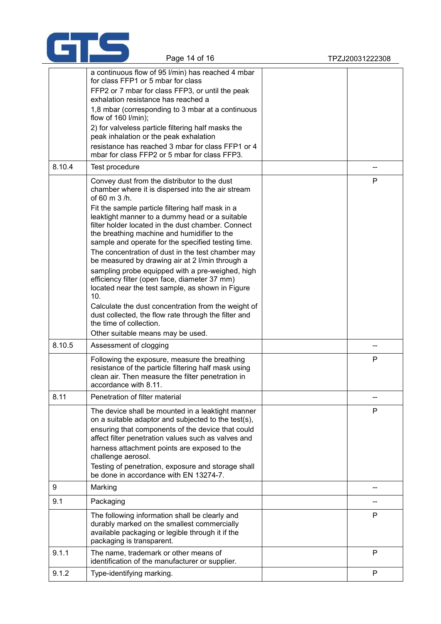

|        | a continuous flow of 95 l/min) has reached 4 mbar<br>for class FFP1 or 5 mbar for class<br>FFP2 or 7 mbar for class FFP3, or until the peak<br>exhalation resistance has reached a<br>1,8 mbar (corresponding to 3 mbar at a continuous<br>flow of $160$ l/min);<br>2) for valveless particle filtering half masks the<br>peak inhalation or the peak exhalation<br>resistance has reached 3 mbar for class FFP1 or 4<br>mbar for class FFP2 or 5 mbar for class FFP3.                                                                                                                                                                                                                                                                                                                                                                     |   |  |
|--------|--------------------------------------------------------------------------------------------------------------------------------------------------------------------------------------------------------------------------------------------------------------------------------------------------------------------------------------------------------------------------------------------------------------------------------------------------------------------------------------------------------------------------------------------------------------------------------------------------------------------------------------------------------------------------------------------------------------------------------------------------------------------------------------------------------------------------------------------|---|--|
| 8.10.4 | Test procedure                                                                                                                                                                                                                                                                                                                                                                                                                                                                                                                                                                                                                                                                                                                                                                                                                             |   |  |
|        | Convey dust from the distributor to the dust<br>chamber where it is dispersed into the air stream<br>of 60 m 3 /h.<br>Fit the sample particle filtering half mask in a<br>leaktight manner to a dummy head or a suitable<br>filter holder located in the dust chamber. Connect<br>the breathing machine and humidifier to the<br>sample and operate for the specified testing time.<br>The concentration of dust in the test chamber may<br>be measured by drawing air at 2 I/min through a<br>sampling probe equipped with a pre-weighed, high<br>efficiency filter (open face, diameter 37 mm)<br>located near the test sample, as shown in Figure<br>10.<br>Calculate the dust concentration from the weight of<br>dust collected, the flow rate through the filter and<br>the time of collection.<br>Other suitable means may be used. | P |  |
| 8.10.5 | Assessment of clogging                                                                                                                                                                                                                                                                                                                                                                                                                                                                                                                                                                                                                                                                                                                                                                                                                     |   |  |
|        | Following the exposure, measure the breathing<br>resistance of the particle filtering half mask using<br>clean air. Then measure the filter penetration in<br>accordance with 8.11.                                                                                                                                                                                                                                                                                                                                                                                                                                                                                                                                                                                                                                                        | P |  |
| 8.11   | Penetration of filter material                                                                                                                                                                                                                                                                                                                                                                                                                                                                                                                                                                                                                                                                                                                                                                                                             |   |  |
|        | The device shall be mounted in a leaktight manner<br>on a suitable adaptor and subjected to the test(s),<br>ensuring that components of the device that could<br>affect filter penetration values such as valves and<br>harness attachment points are exposed to the<br>challenge aerosol.<br>Testing of penetration, exposure and storage shall<br>be done in accordance with EN 13274-7.                                                                                                                                                                                                                                                                                                                                                                                                                                                 | P |  |
| 9      | Marking                                                                                                                                                                                                                                                                                                                                                                                                                                                                                                                                                                                                                                                                                                                                                                                                                                    |   |  |
| 9.1    | Packaging                                                                                                                                                                                                                                                                                                                                                                                                                                                                                                                                                                                                                                                                                                                                                                                                                                  |   |  |
|        | The following information shall be clearly and<br>durably marked on the smallest commercially<br>available packaging or legible through it if the<br>packaging is transparent.                                                                                                                                                                                                                                                                                                                                                                                                                                                                                                                                                                                                                                                             | P |  |
| 9.1.1  | The name, trademark or other means of<br>identification of the manufacturer or supplier.                                                                                                                                                                                                                                                                                                                                                                                                                                                                                                                                                                                                                                                                                                                                                   | P |  |
| 9.1.2  | Type-identifying marking.                                                                                                                                                                                                                                                                                                                                                                                                                                                                                                                                                                                                                                                                                                                                                                                                                  | P |  |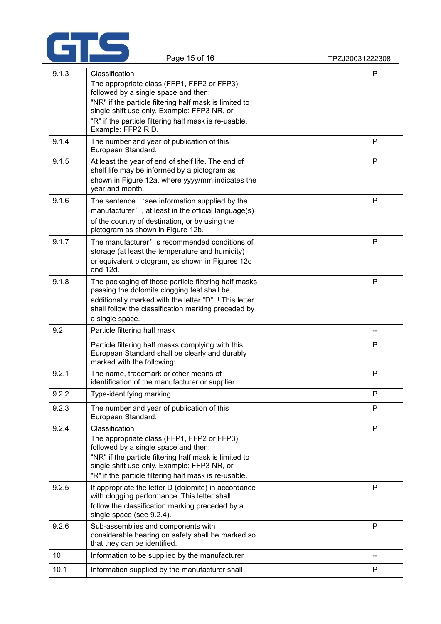

| 9.1.3 | Classification                                                                                                                                                                                                                                                         | $\mathsf{P}$ |
|-------|------------------------------------------------------------------------------------------------------------------------------------------------------------------------------------------------------------------------------------------------------------------------|--------------|
|       | The appropriate class (FFP1, FFP2 or FFP3)<br>followed by a single space and then:<br>"NR" if the particle filtering half mask is limited to                                                                                                                           |              |
|       | single shift use only. Example: FFP3 NR, or<br>"R" if the particle filtering half mask is re-usable.<br>Example: FFP2 R D.                                                                                                                                             |              |
| 9.1.4 | The number and year of publication of this<br>European Standard.                                                                                                                                                                                                       | P            |
| 9.1.5 | At least the year of end of shelf life. The end of<br>shelf life may be informed by a pictogram as<br>shown in Figure 12a, where yyyy/mm indicates the<br>year and month.                                                                                              | $\mathsf{P}$ |
| 9.1.6 | The sentence 'see information supplied by the<br>manufacturer', at least in the official language(s)<br>of the country of destination, or by using the<br>pictogram as shown in Figure 12b.                                                                            | $\mathsf{P}$ |
| 9.1.7 | The manufacturer's recommended conditions of<br>storage (at least the temperature and humidity)<br>or equivalent pictogram, as shown in Figures 12c<br>and 12d.                                                                                                        | P            |
| 9.1.8 | The packaging of those particle filtering half masks<br>passing the dolomite clogging test shall be<br>additionally marked with the letter "D". ! This letter<br>shall follow the classification marking preceded by<br>a single space.                                | $\mathsf{P}$ |
| 9.2   | Particle filtering half mask                                                                                                                                                                                                                                           |              |
|       | Particle filtering half masks complying with this<br>European Standard shall be clearly and durably<br>marked with the following:                                                                                                                                      | P            |
| 9.2.1 | The name, trademark or other means of<br>identification of the manufacturer or supplier.                                                                                                                                                                               | $\mathsf{P}$ |
| 9.2.2 | Type-identifying marking.                                                                                                                                                                                                                                              | P            |
| 9.2.3 | The number and year of publication of this<br>European Standard.                                                                                                                                                                                                       | P            |
| 9.2.4 | Classification<br>The appropriate class (FFP1, FFP2 or FFP3)<br>followed by a single space and then:<br>"NR" if the particle filtering half mask is limited to<br>single shift use only. Example: FFP3 NR, or<br>"R" if the particle filtering half mask is re-usable. | P            |
| 9.2.5 | If appropriate the letter D (dolomite) in accordance<br>with clogging performance. This letter shall<br>follow the classification marking preceded by a<br>single space (see 9.2.4).                                                                                   | $\mathsf{P}$ |
| 9.2.6 | Sub-assemblies and components with<br>considerable bearing on safety shall be marked so<br>that they can be identified.                                                                                                                                                | P            |
| 10    | Information to be supplied by the manufacturer                                                                                                                                                                                                                         | --           |
| 10.1  | Information supplied by the manufacturer shall                                                                                                                                                                                                                         | P            |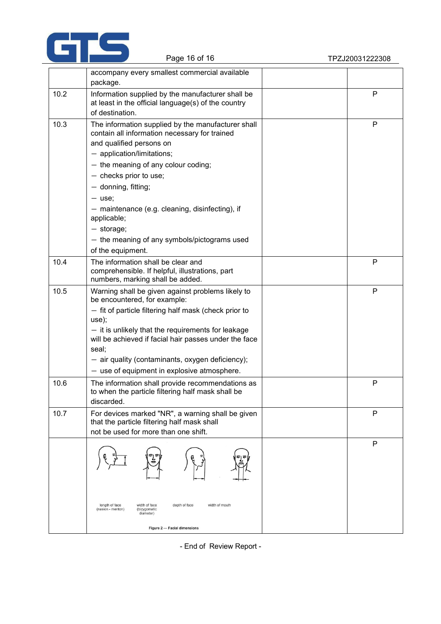

|      | accompany every smallest commercial available                                                                                            |              |
|------|------------------------------------------------------------------------------------------------------------------------------------------|--------------|
|      | package.                                                                                                                                 |              |
| 10.2 | Information supplied by the manufacturer shall be<br>at least in the official language(s) of the country<br>of destination.              | P            |
| 10.3 | The information supplied by the manufacturer shall<br>contain all information necessary for trained                                      | ${\sf P}$    |
|      | and qualified persons on                                                                                                                 |              |
|      | $-$ application/limitations;                                                                                                             |              |
|      | $-$ the meaning of any colour coding;                                                                                                    |              |
|      | $-$ checks prior to use;                                                                                                                 |              |
|      | $-$ donning, fitting;                                                                                                                    |              |
|      | $-$ use;                                                                                                                                 |              |
|      | - maintenance (e.g. cleaning, disinfecting), if<br>applicable;                                                                           |              |
|      | $-$ storage;                                                                                                                             |              |
|      | - the meaning of any symbols/pictograms used                                                                                             |              |
|      | of the equipment.                                                                                                                        |              |
| 10.4 | The information shall be clear and<br>comprehensible. If helpful, illustrations, part<br>numbers, marking shall be added.                | P            |
| 10.5 | Warning shall be given against problems likely to<br>be encountered, for example:                                                        | $\mathsf{P}$ |
|      | - fit of particle filtering half mask (check prior to<br>use);                                                                           |              |
|      | $-$ it is unlikely that the requirements for leakage<br>will be achieved if facial hair passes under the face<br>seal;                   |              |
|      | - air quality (contaminants, oxygen deficiency);                                                                                         |              |
|      | $-$ use of equipment in explosive atmosphere.                                                                                            |              |
| 10.6 | The information shall provide recommendations as<br>to when the particle filtering half mask shall be<br>discarded.                      | ${\sf P}$    |
| 10.7 | For devices marked "NR", a warning shall be given<br>that the particle filtering half mask shall<br>not be used for more than one shift. | P            |
|      |                                                                                                                                          | Ρ            |
|      | depth of face<br>length of face<br>width of face<br>width of mouth<br>(nasion - menton)<br>(bizygomatic<br>diameter)                     |              |
|      | Figure 2 - Facial dimensions                                                                                                             |              |

- End of Review Report -